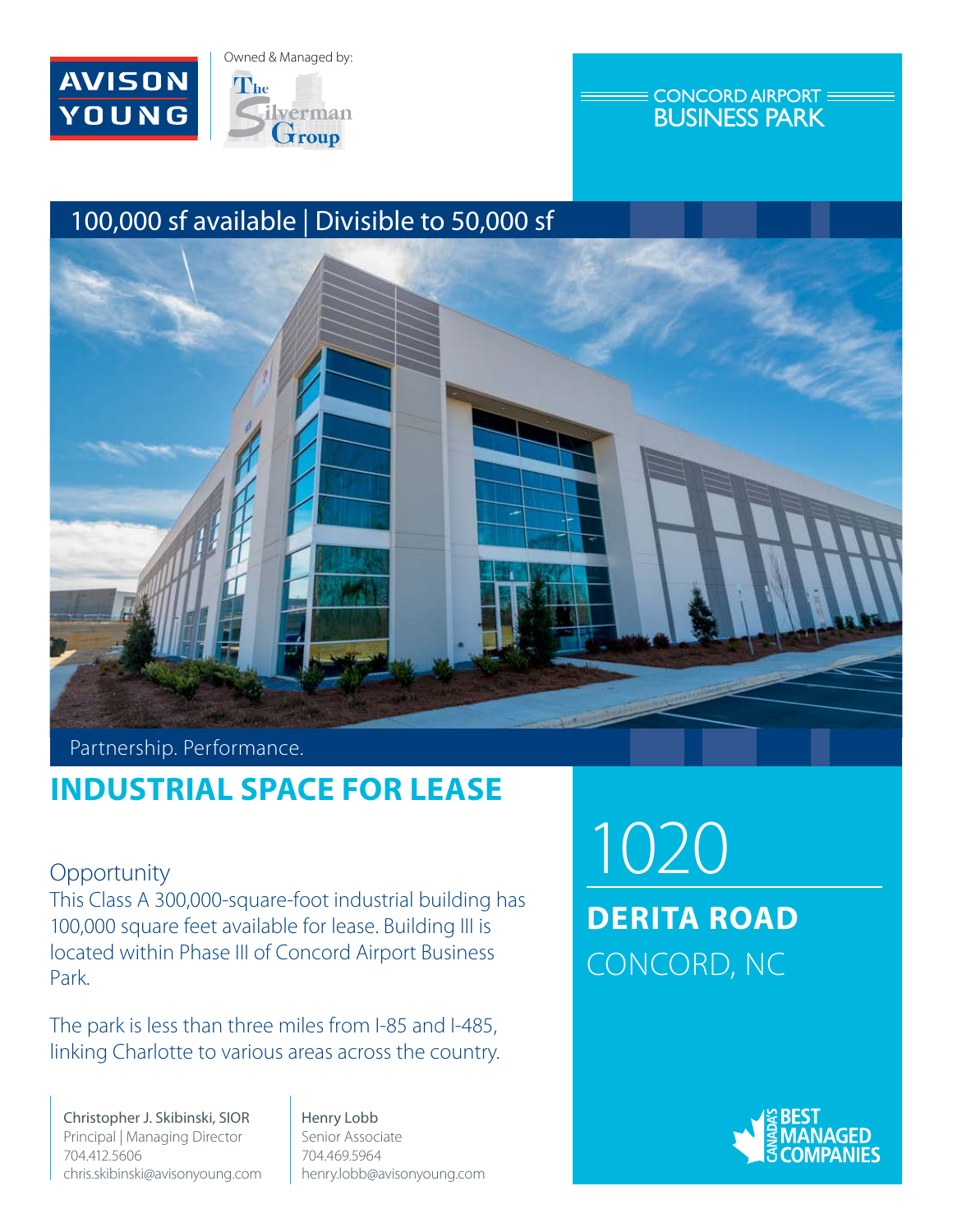



### **CONCORD AIRPORT: BUSINESS PARK**

# 100,000 sf available | Divisible to 50,000 sf



## Partnership. Performance.

# **INDUSTRIAL SPACE FOR LEASE**

**Opportunity** 

This Class A 300,000-square-foot industrial building has 100,000 square feet available for lease. Building III is located within Phase III of Concord Airport Business Park.

The park is less than three miles from I-85 and I-485, linking Charlotte to various areas across the country.

Christopher J. Skibinski, SIOR Principal | Managing Director 704.412.5606 chris.skibinski@avisonyoung.com

Henry Lobb Senior Associate 704.469.5964 henry.lobb@avisonyoung.com

1020 **DERITA ROAD** CONCORD, NC

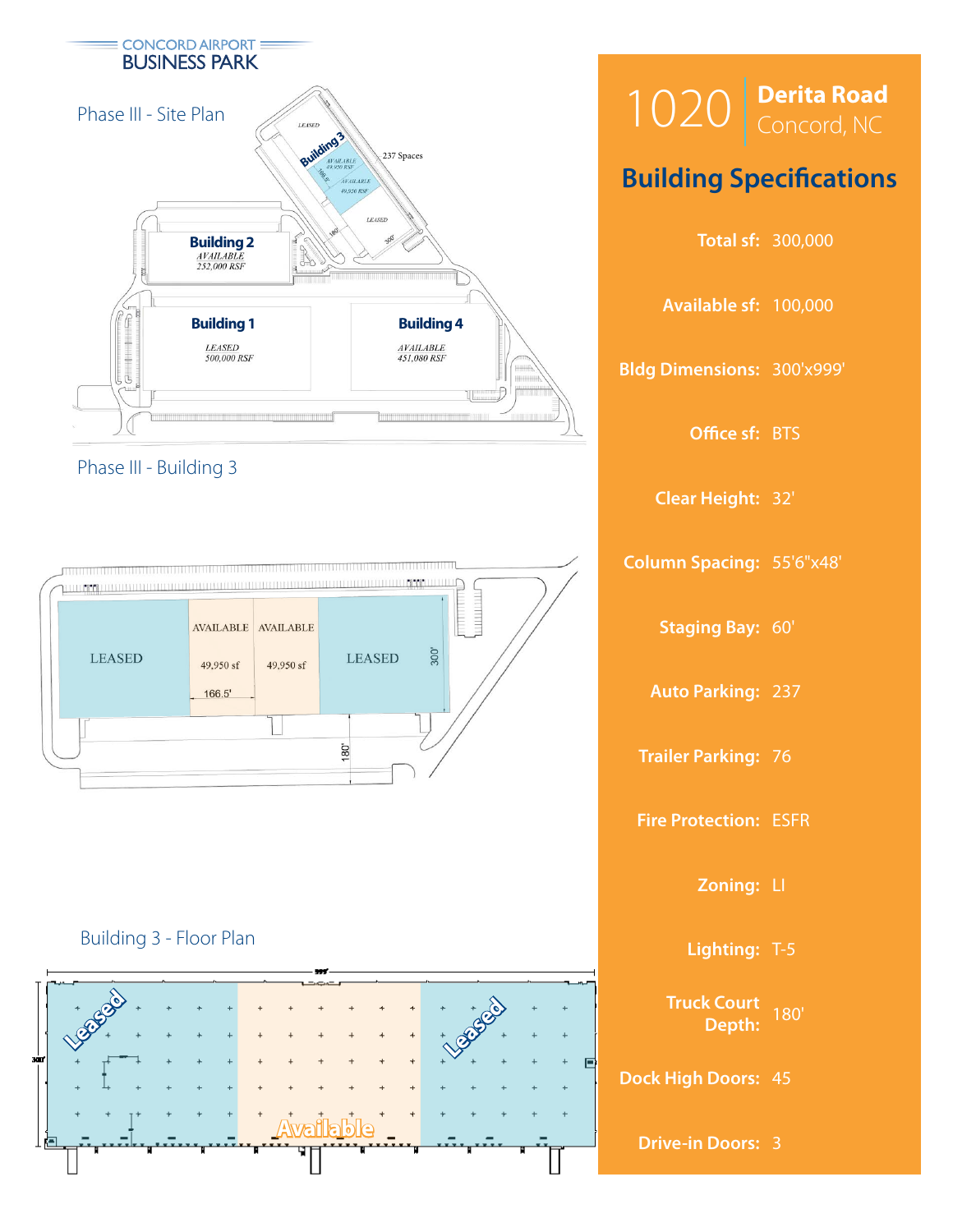

### Phase III - Building 3



### Building 3 - Floor Plan



| $1020$ Derita Road                   |
|--------------------------------------|
| <b>Building Specifications</b>       |
| <b>Total sf: 300,000</b>             |
| Available sf: 100,000                |
| <b>Bldg Dimensions: 300'x999'</b>    |
| Office sf: BTS                       |
| <b>Clear Height: 32'</b>             |
| <b>Column Spacing: 55'6"x48'</b>     |
| <b>Staging Bay: 60'</b>              |
| <b>Auto Parking: 237</b>             |
| <b>Trailer Parking: 76</b>           |
| <b>Fire Protection: ESFR</b>         |
| Zoning: LI                           |
| Lighting: T-5                        |
| <b>Truck Court</b><br>180'<br>Depth: |
| <b>Dock High Doors: 45</b>           |
| <b>Drive-in Doors: 3</b>             |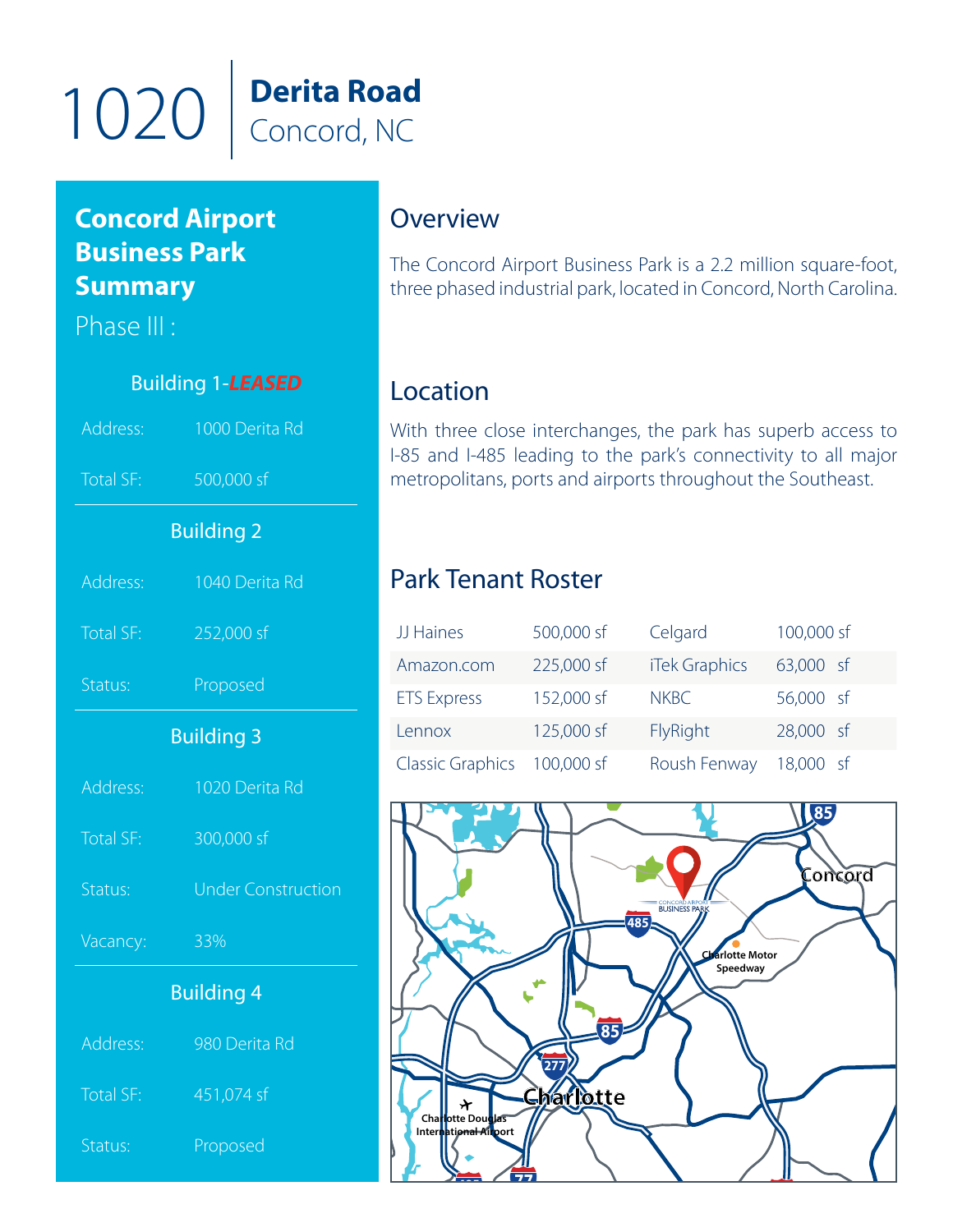

# **Concord Airport Business Park Summary**

Phase III :

# .<br>rit **B**astonical Definitions Building 1-*LEASED* Address: 1000 Derita Rd Total SF: 500,000 sf Building 2 Address: 1040 Derita Rd Total SF: 252,000 sf Status: Proposed Building 3 Address: 1020 Derita Rd Total SF: 300,000 sf Status: Under Construction Vacancy: 33% Building 4 Address: 980 Derita Rd

| , 1991 - 199 | $200$ DCHCH |
|--------------|-------------|
| Total SF:    | 451,074 sf  |
|              |             |

Status: Proposed

# **Overview**

The Concord Airport Business Park is a 2.2 million square-foot, three phased industrial park, located in Concord, North Carolina.

## Location

With three close interchanges, the park has superb access to I-85 and I-485 leading to the park's connectivity to all major metropolitans, ports and airports throughout the Southeast.

### **21** Park Tenant Roster

| JJ Haines                   | 500,000 sf | Celgard              | 100,000 sf |
|-----------------------------|------------|----------------------|------------|
| Amazon.com                  | 225,000 sf | <b>iTek Graphics</b> | 63,000 sf  |
| <b>ETS Express</b>          | 152,000 sf | <b>NKBC</b>          | 56,000 sf  |
| Lennox                      | 125,000 sf | FlyRight             | 28,000 sf  |
| Classic Graphics 100,000 sf |            | Roush Fenway         | 18,000 sf  |